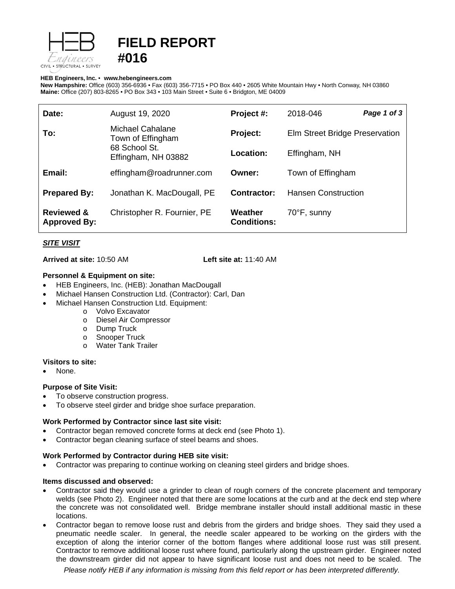

# **FIELD REPORT #016**

#### **HEB Engineers, Inc.** • **[www.hebengineer](http://www.hebengineers.com/)s.com**

**New Hampshire:** Office (603) 356-6936 • Fax (603) 356-7715 • PO Box 440 • 2605 White Mountain Hwy • North Conway, NH 03860 **Maine:** Office (207) 803-8265 • PO Box 343 • 103 Main Street • Suite 6 • Bridgton, ME 04009

| Date:                                        | August 19, 2020                                                               | Project #:                    | 2018-046                       | Page 1 of 3 |
|----------------------------------------------|-------------------------------------------------------------------------------|-------------------------------|--------------------------------|-------------|
| To:                                          | Michael Cahalane<br>Town of Effingham<br>68 School St.<br>Effingham, NH 03882 | Project:                      | Elm Street Bridge Preservation |             |
|                                              |                                                                               | Location:                     | Effingham, NH                  |             |
| Email:                                       | effingham@roadrunner.com                                                      | Owner:                        | Town of Effingham              |             |
| <b>Prepared By:</b>                          | Jonathan K. MacDougall, PE                                                    | Contractor:                   | <b>Hansen Construction</b>     |             |
| <b>Reviewed &amp;</b><br><b>Approved By:</b> | Christopher R. Fournier, PE                                                   | Weather<br><b>Conditions:</b> | 70°F, sunny                    |             |

# *SITE VISIT*

**Arrived at site:** 10:50 AM **Left site at:** 11:40 AM

### **Personnel & Equipment on site:**

- HEB Engineers, Inc. (HEB): Jonathan MacDougall
- Michael Hansen Construction Ltd. (Contractor): Carl, Dan
- Michael Hansen Construction Ltd. Equipment:
	- o Volvo Excavator
	- o Diesel Air Compressor
	- o Dump Truck<br>o Snooper True
	- o Snooper Truck<br>o Water Tank Tra
	- Water Tank Trailer

### **Visitors to site:**

None.

### **Purpose of Site Visit:**

- To observe construction progress.
- To observe steel girder and bridge shoe surface preparation.

### **Work Performed by Contractor since last site visit:**

- Contractor began removed concrete forms at deck end (see Photo 1).
- Contractor began cleaning surface of steel beams and shoes.

### **Work Performed by Contractor during HEB site visit:**

• Contractor was preparing to continue working on cleaning steel girders and bridge shoes.

### **Items discussed and observed:**

- Contractor said they would use a grinder to clean of rough corners of the concrete placement and temporary welds (see Photo 2). Engineer noted that there are some locations at the curb and at the deck end step where the concrete was not consolidated well. Bridge membrane installer should install additional mastic in these locations.
- Contractor began to remove loose rust and debris from the girders and bridge shoes. They said they used a pneumatic needle scaler. In general, the needle scaler appeared to be working on the girders with the exception of along the interior corner of the bottom flanges where additional loose rust was still present. Contractor to remove additional loose rust where found, particularly along the upstream girder. Engineer noted the downstream girder did not appear to have significant loose rust and does not need to be scaled. The

*Please notify HEB if any information is missing from this field report or has been interpreted differently.*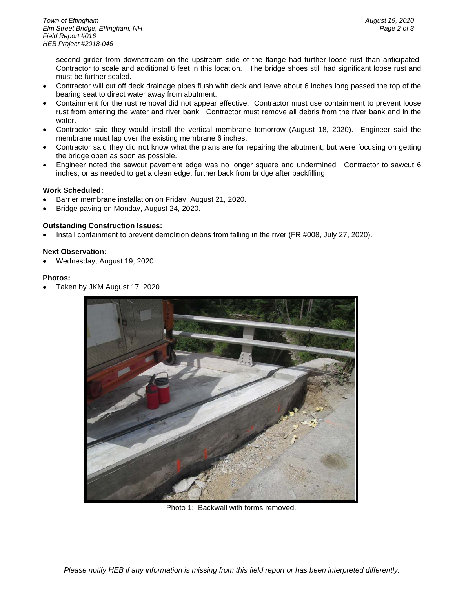second girder from downstream on the upstream side of the flange had further loose rust than anticipated. Contractor to scale and additional 6 feet in this location. The bridge shoes still had significant loose rust and must be further scaled.

- Contractor will cut off deck drainage pipes flush with deck and leave about 6 inches long passed the top of the bearing seat to direct water away from abutment.
- Containment for the rust removal did not appear effective. Contractor must use containment to prevent loose rust from entering the water and river bank. Contractor must remove all debris from the river bank and in the water.
- Contractor said they would install the vertical membrane tomorrow (August 18, 2020). Engineer said the membrane must lap over the existing membrane 6 inches.
- Contractor said they did not know what the plans are for repairing the abutment, but were focusing on getting the bridge open as soon as possible.
- Engineer noted the sawcut pavement edge was no longer square and undermined. Contractor to sawcut 6 inches, or as needed to get a clean edge, further back from bridge after backfilling.

# **Work Scheduled:**

- Barrier membrane installation on Friday, August 21, 2020.
- Bridge paving on Monday, August 24, 2020.

# **Outstanding Construction Issues:**

• Install containment to prevent demolition debris from falling in the river (FR #008, July 27, 2020).

# **Next Observation:**

• Wednesday, August 19, 2020.

# **Photos:**

• Taken by JKM August 17, 2020.



Photo 1: Backwall with forms removed.